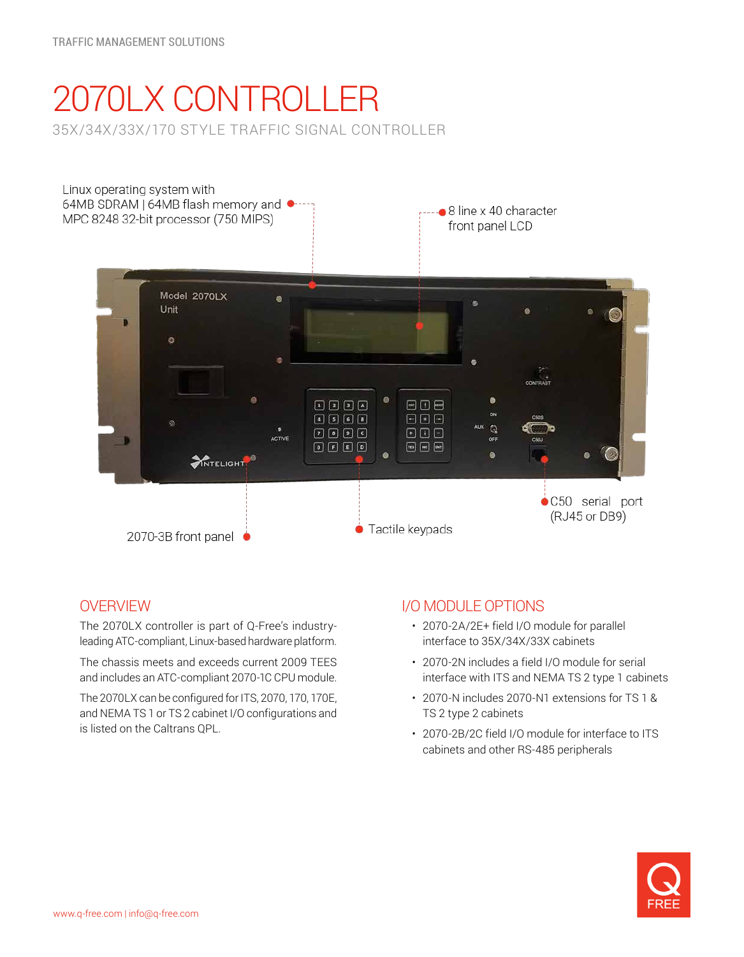# 2070LX CONTROLLER 35X/34X/33X/170 STYLE TRAFFIC SIGNAL CONTROLLER



# **OVERVIEW**

The 2070LX controller is part of Q-Free's industryleading ATC-compliant, Linux-based hardware platform.

The chassis meets and exceeds current 2009 TEES and includes an ATC-compliant 2070-1C CPU module.

The 2070LX can be configured for ITS, 2070, 170, 170E, and NEMA TS 1 or TS 2 cabinet I/O configurations and is listed on the Caltrans QPL.

# I/O MODULE OPTIONS

- 2070-2A/2E+ field I/O module for parallel interface to 35X/34X/33X cabinets
- 2070-2N includes a field I/O module for serial interface with ITS and NEMA TS 2 type 1 cabinets
- 2070-N includes 2070-N1 extensions for TS 1 & TS 2 type 2 cabinets
- 2070-2B/2C field I/O module for interface to ITS cabinets and other RS-485 peripherals